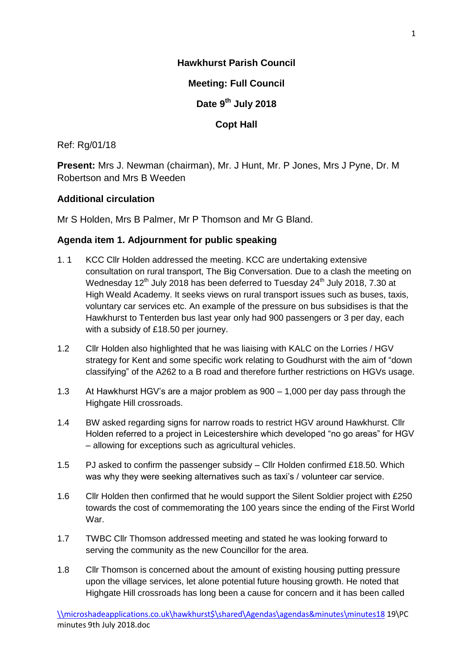# **Hawkhurst Parish Council**

# **Meeting: Full Council**

**Date 9th July 2018**

# **Copt Hall**

## Ref: Rg/01/18

**Present:** Mrs J. Newman (chairman), Mr. J Hunt, Mr. P Jones, Mrs J Pyne, Dr. M Robertson and Mrs B Weeden

# **Additional circulation**

Mr S Holden, Mrs B Palmer, Mr P Thomson and Mr G Bland.

# **Agenda item 1. Adjournment for public speaking**

- 1. 1 KCC Cllr Holden addressed the meeting. KCC are undertaking extensive consultation on rural transport, The Big Conversation. Due to a clash the meeting on Wednesday  $12<sup>th</sup>$  July 2018 has been deferred to Tuesday 24<sup>th</sup> July 2018, 7.30 at High Weald Academy. It seeks views on rural transport issues such as buses, taxis, voluntary car services etc. An example of the pressure on bus subsidises is that the Hawkhurst to Tenterden bus last year only had 900 passengers or 3 per day, each with a subsidy of £18.50 per journey.
- 1.2 Cllr Holden also highlighted that he was liaising with KALC on the Lorries / HGV strategy for Kent and some specific work relating to Goudhurst with the aim of "down classifying" of the A262 to a B road and therefore further restrictions on HGVs usage.
- 1.3 At Hawkhurst HGV's are a major problem as 900 1,000 per day pass through the Highgate Hill crossroads.
- 1.4 BW asked regarding signs for narrow roads to restrict HGV around Hawkhurst. Cllr Holden referred to a project in Leicestershire which developed "no go areas" for HGV – allowing for exceptions such as agricultural vehicles.
- 1.5 PJ asked to confirm the passenger subsidy Cllr Holden confirmed £18.50. Which was why they were seeking alternatives such as taxi's / volunteer car service.
- 1.6 Cllr Holden then confirmed that he would support the Silent Soldier project with £250 towards the cost of commemorating the 100 years since the ending of the First World War.
- 1.7 TWBC Cllr Thomson addressed meeting and stated he was looking forward to serving the community as the new Councillor for the area.
- 1.8 Cllr Thomson is concerned about the amount of existing housing putting pressure upon the village services, let alone potential future housing growth. He noted that Highgate Hill crossroads has long been a cause for concern and it has been called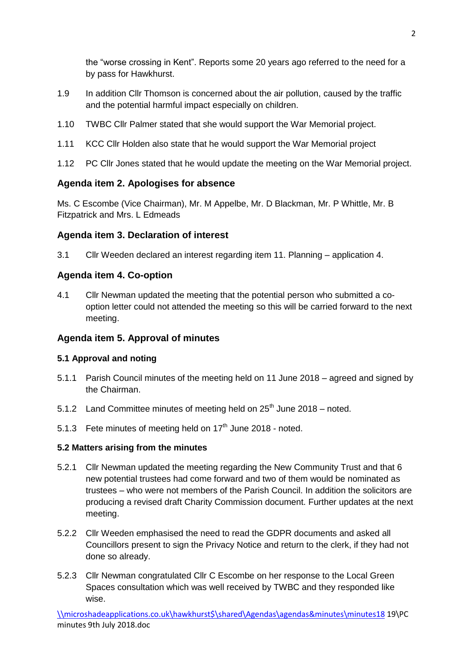the "worse crossing in Kent". Reports some 20 years ago referred to the need for a by pass for Hawkhurst.

- 1.9 In addition Cllr Thomson is concerned about the air pollution, caused by the traffic and the potential harmful impact especially on children.
- 1.10 TWBC Cllr Palmer stated that she would support the War Memorial project.
- 1.11 KCC Cllr Holden also state that he would support the War Memorial project
- 1.12 PC Cllr Jones stated that he would update the meeting on the War Memorial project.

## **Agenda item 2. Apologises for absence**

Ms. C Escombe (Vice Chairman), Mr. M Appelbe, Mr. D Blackman, Mr. P Whittle, Mr. B Fitzpatrick and Mrs. L Edmeads

#### **Agenda item 3. Declaration of interest**

3.1 Cllr Weeden declared an interest regarding item 11. Planning – application 4.

#### **Agenda item 4. Co-option**

4.1 Cllr Newman updated the meeting that the potential person who submitted a cooption letter could not attended the meeting so this will be carried forward to the next meeting.

## **Agenda item 5. Approval of minutes**

#### **5.1 Approval and noting**

- 5.1.1 Parish Council minutes of the meeting held on 11 June 2018 agreed and signed by the Chairman.
- 5.1.2 Land Committee minutes of meeting held on  $25<sup>th</sup>$  June 2018 noted.
- 5.1.3 Fete minutes of meeting held on  $17<sup>th</sup>$  June 2018 noted.

#### **5.2 Matters arising from the minutes**

- 5.2.1 Cllr Newman updated the meeting regarding the New Community Trust and that 6 new potential trustees had come forward and two of them would be nominated as trustees – who were not members of the Parish Council. In addition the solicitors are producing a revised draft Charity Commission document. Further updates at the next meeting.
- 5.2.2 Cllr Weeden emphasised the need to read the GDPR documents and asked all Councillors present to sign the Privacy Notice and return to the clerk, if they had not done so already.
- 5.2.3 Cllr Newman congratulated Cllr C Escombe on her response to the Local Green Spaces consultation which was well received by TWBC and they responded like wise.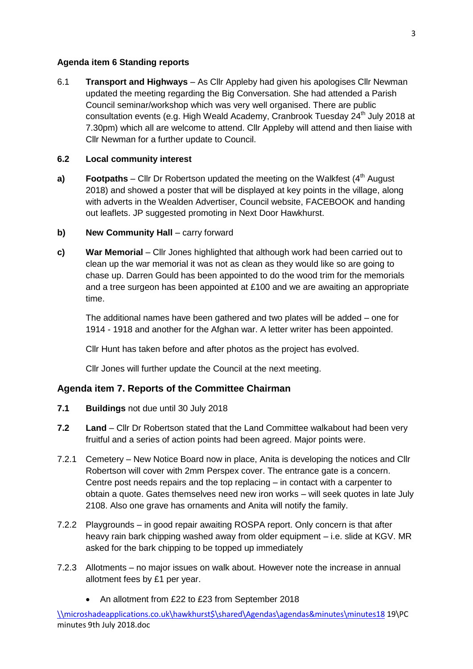#### **Agenda item 6 Standing reports**

6.1 **Transport and Highways** – As Cllr Appleby had given his apologises Cllr Newman updated the meeting regarding the Big Conversation. She had attended a Parish Council seminar/workshop which was very well organised. There are public consultation events (e.g. High Weald Academy, Cranbrook Tuesday 24<sup>th</sup> July 2018 at 7.30pm) which all are welcome to attend. Cllr Appleby will attend and then liaise with Cllr Newman for a further update to Council.

## **6.2 Local community interest**

- **a) <b>Footpaths** Cllr Dr Robertson updated the meeting on the Walkfest  $(4^{\text{th}}$  August 2018) and showed a poster that will be displayed at key points in the village, along with adverts in the Wealden Advertiser, Council website, FACEBOOK and handing out leaflets. JP suggested promoting in Next Door Hawkhurst.
- **b)** New Community Hall carry forward
- **c) War Memorial** Cllr Jones highlighted that although work had been carried out to clean up the war memorial it was not as clean as they would like so are going to chase up. Darren Gould has been appointed to do the wood trim for the memorials and a tree surgeon has been appointed at £100 and we are awaiting an appropriate time.

The additional names have been gathered and two plates will be added – one for 1914 - 1918 and another for the Afghan war. A letter writer has been appointed.

Cllr Hunt has taken before and after photos as the project has evolved.

Cllr Jones will further update the Council at the next meeting.

## **Agenda item 7. Reports of the Committee Chairman**

- **7.1 Buildings** not due until 30 July 2018
- **7.2 Land** Cllr Dr Robertson stated that the Land Committee walkabout had been very fruitful and a series of action points had been agreed. Major points were.
- 7.2.1 Cemetery New Notice Board now in place, Anita is developing the notices and Cllr Robertson will cover with 2mm Perspex cover. The entrance gate is a concern. Centre post needs repairs and the top replacing – in contact with a carpenter to obtain a quote. Gates themselves need new iron works – will seek quotes in late July 2108. Also one grave has ornaments and Anita will notify the family.
- 7.2.2 Playgrounds in good repair awaiting ROSPA report. Only concern is that after heavy rain bark chipping washed away from older equipment – i.e. slide at KGV. MR asked for the bark chipping to be topped up immediately
- 7.2.3 Allotments no major issues on walk about. However note the increase in annual allotment fees by £1 per year.
	- An allotment from £22 to £23 from September 2018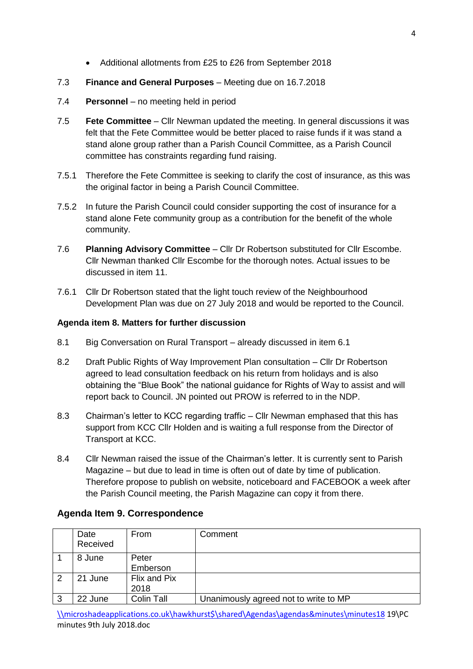Additional allotments from £25 to £26 from September 2018

## 7.3 **Finance and General Purposes** – Meeting due on 16.7.2018

- 7.4 **Personnel** no meeting held in period
- 7.5 **Fete Committee** Cllr Newman updated the meeting. In general discussions it was felt that the Fete Committee would be better placed to raise funds if it was stand a stand alone group rather than a Parish Council Committee, as a Parish Council committee has constraints regarding fund raising.
- 7.5.1 Therefore the Fete Committee is seeking to clarify the cost of insurance, as this was the original factor in being a Parish Council Committee.
- 7.5.2 In future the Parish Council could consider supporting the cost of insurance for a stand alone Fete community group as a contribution for the benefit of the whole community.
- 7.6 **Planning Advisory Committee** Cllr Dr Robertson substituted for Cllr Escombe. Cllr Newman thanked Cllr Escombe for the thorough notes. Actual issues to be discussed in item 11.
- 7.6.1 Cllr Dr Robertson stated that the light touch review of the Neighbourhood Development Plan was due on 27 July 2018 and would be reported to the Council.

#### **Agenda item 8. Matters for further discussion**

- 8.1 Big Conversation on Rural Transport already discussed in item 6.1
- 8.2 Draft Public Rights of Way Improvement Plan consultation Cllr Dr Robertson agreed to lead consultation feedback on his return from holidays and is also obtaining the "Blue Book" the national guidance for Rights of Way to assist and will report back to Council. JN pointed out PROW is referred to in the NDP.
- 8.3 Chairman's letter to KCC regarding traffic Cllr Newman emphased that this has support from KCC Cllr Holden and is waiting a full response from the Director of Transport at KCC.
- 8.4 Cllr Newman raised the issue of the Chairman's letter. It is currently sent to Parish Magazine – but due to lead in time is often out of date by time of publication. Therefore propose to publish on website, noticeboard and FACEBOOK a week after the Parish Council meeting, the Parish Magazine can copy it from there.

## **Agenda Item 9. Correspondence**

|   | Date<br>Received | From                 | Comment                               |
|---|------------------|----------------------|---------------------------------------|
|   | 8 June           | Peter<br>Emberson    |                                       |
| 2 | 21 June          | Flix and Pix<br>2018 |                                       |
| 3 | 22 June          | Colin Tall           | Unanimously agreed not to write to MP |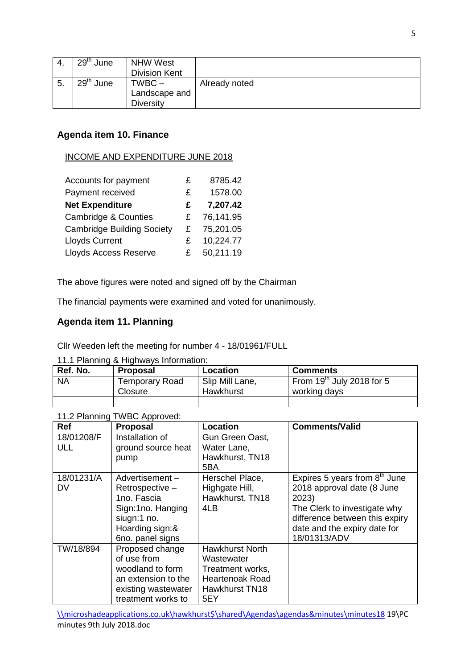|     | 29 <sup>th</sup><br>June | <b>NHW West</b>      |               |
|-----|--------------------------|----------------------|---------------|
|     |                          | <b>Division Kent</b> |               |
| ່ວ. | 29 <sup>th</sup><br>June | TWBC –               | Already noted |
|     |                          | Landscape and        |               |
|     |                          | <b>Diversity</b>     |               |

# **Agenda item 10. Finance**

#### INCOME AND EXPENDITURE JUNE 2018

| Accounts for payment              | £  | 8785.42   |
|-----------------------------------|----|-----------|
| Payment received                  | £. | 1578.00   |
| <b>Net Expenditure</b>            | £  | 7,207.42  |
| <b>Cambridge &amp; Counties</b>   | £  | 76,141.95 |
| <b>Cambridge Building Society</b> | £. | 75,201.05 |
| <b>Lloyds Current</b>             | £  | 10,224.77 |
| <b>Lloyds Access Reserve</b>      | £. | 50,211.19 |

The above figures were noted and signed off by the Chairman

The financial payments were examined and voted for unanimously.

# **Agenda item 11. Planning**

Cllr Weeden left the meeting for number 4 - 18/01961/FULL

11.1 Planning & Highways Information:

| Ref. No.  | <b>Proposal</b>           | Location                     | <b>Comments</b>                             |
|-----------|---------------------------|------------------------------|---------------------------------------------|
| <b>NA</b> | Temporary Road<br>Closure | Slip Mill Lane,<br>Hawkhurst | From $19th$ July 2018 for 5<br>working days |
|           |                           |                              |                                             |

| Ref               | <b>Proposal</b>                                                                                                             | Location                                                                                             | <b>Comments/Valid</b>                                                                                                                                                                    |
|-------------------|-----------------------------------------------------------------------------------------------------------------------------|------------------------------------------------------------------------------------------------------|------------------------------------------------------------------------------------------------------------------------------------------------------------------------------------------|
| 18/01208/F<br>ULL | Installation of<br>ground source heat<br>pump                                                                               | Gun Green Oast,<br>Water Lane,<br>Hawkhurst, TN18<br>5BA                                             |                                                                                                                                                                                          |
| 18/01231/A<br>DV  | Advertisement-<br>Retrospective -<br>1no. Fascia<br>Sign:1no. Hanging<br>siugn:1 no.<br>Hoarding sign:&<br>6no. panel signs | Herschel Place,<br>Highgate Hill,<br>Hawkhurst, TN18<br>4LB                                          | Expires 5 years from $8th$ June<br>2018 approval date (8 June<br>2023)<br>The Clerk to investigate why<br>difference between this expiry<br>date and the expiry date for<br>18/01313/ADV |
| TW/18/894         | Proposed change<br>of use from<br>woodland to form<br>an extension to the<br>existing wastewater<br>treatment works to      | <b>Hawkhurst North</b><br>Wastewater<br>Treatment works,<br>Heartenoak Road<br>Hawkhurst TN18<br>5EY |                                                                                                                                                                                          |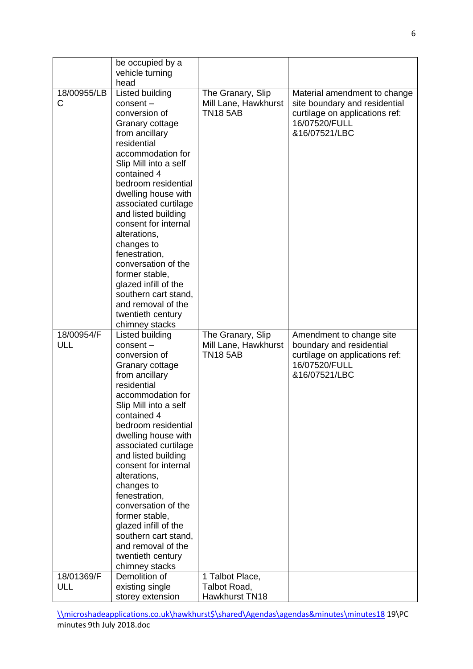|                          | be occupied by a<br>vehicle turning<br>head                                                                                                                                                                                                                                                                                                                                                                                                                                                |                                                              |                                                                                                                                   |
|--------------------------|--------------------------------------------------------------------------------------------------------------------------------------------------------------------------------------------------------------------------------------------------------------------------------------------------------------------------------------------------------------------------------------------------------------------------------------------------------------------------------------------|--------------------------------------------------------------|-----------------------------------------------------------------------------------------------------------------------------------|
| 18/00955/LB<br>C         | Listed building<br>$consent -$<br>conversion of<br>Granary cottage<br>from ancillary<br>residential<br>accommodation for<br>Slip Mill into a self<br>contained 4<br>bedroom residential<br>dwelling house with<br>associated curtilage<br>and listed building<br>consent for internal<br>alterations,<br>changes to<br>fenestration,<br>conversation of the<br>former stable,<br>glazed infill of the<br>southern cart stand,<br>and removal of the<br>twentieth century<br>chimney stacks | The Granary, Slip<br>Mill Lane, Hawkhurst<br><b>TN18 5AB</b> | Material amendment to change<br>site boundary and residential<br>curtilage on applications ref:<br>16/07520/FULL<br>&16/07521/LBC |
|                          |                                                                                                                                                                                                                                                                                                                                                                                                                                                                                            |                                                              |                                                                                                                                   |
| 18/00954/F<br>ULL        | Listed building<br>$consent -$<br>conversion of<br>Granary cottage<br>from ancillary<br>residential<br>accommodation for<br>Slip Mill into a self<br>contained 4<br>bedroom residential<br>dwelling house with<br>associated curtilage<br>and listed building<br>consent for internal<br>alterations,<br>changes to<br>fenestration,<br>conversation of the<br>former stable,<br>glazed infill of the<br>southern cart stand,<br>and removal of the<br>twentieth century<br>chimney stacks | The Granary, Slip<br>Mill Lane, Hawkhurst<br><b>TN18 5AB</b> | Amendment to change site<br>boundary and residential<br>curtilage on applications ref:<br>16/07520/FULL<br>&16/07521/LBC          |
| 18/01369/F<br><b>ULL</b> | Demolition of<br>existing single<br>storey extension                                                                                                                                                                                                                                                                                                                                                                                                                                       | 1 Talbot Place,<br>Talbot Road,<br>Hawkhurst TN18            |                                                                                                                                   |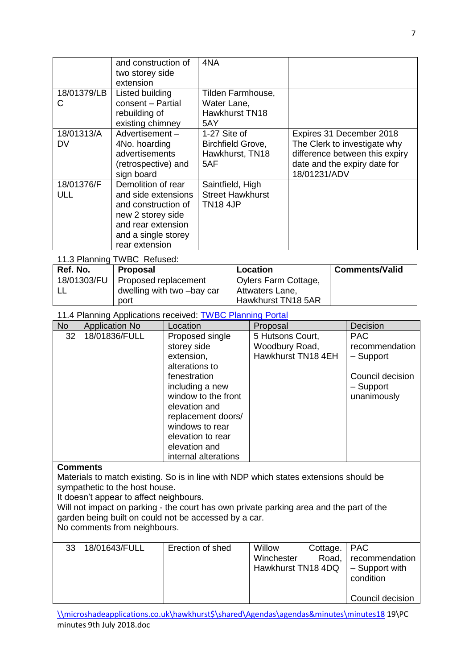|                   | and construction of<br>two storey side<br>extension                                                                                                  | 4NA                                                              |                                                                                                                                            |
|-------------------|------------------------------------------------------------------------------------------------------------------------------------------------------|------------------------------------------------------------------|--------------------------------------------------------------------------------------------------------------------------------------------|
| 18/01379/LB<br>C  | Listed building<br>consent - Partial<br>rebuilding of<br>existing chimney                                                                            | Tilden Farmhouse,<br>Water Lane,<br><b>Hawkhurst TN18</b><br>5AY |                                                                                                                                            |
| 18/01313/A<br>DV  | Advertisement-<br>4No. hoarding<br>advertisements<br>(retrospective) and<br>sign board                                                               | 1-27 Site of<br>Birchfield Grove,<br>Hawkhurst, TN18<br>5AF      | Expires 31 December 2018<br>The Clerk to investigate why<br>difference between this expiry<br>date and the expiry date for<br>18/01231/ADV |
| 18/01376/F<br>ULL | Demolition of rear<br>and side extensions<br>and construction of<br>new 2 storey side<br>and rear extension<br>and a single storey<br>rear extension | Saintfield, High<br><b>Street Hawkhurst</b><br><b>TN18 4JP</b>   |                                                                                                                                            |

## 11.3 Planning TWBC Refused:

| Ref. No.    | <b>Proposal</b>            | Location             | <b>Comments/Valid</b> |
|-------------|----------------------------|----------------------|-----------------------|
| 18/01303/FU | Proposed replacement       | Oylers Farm Cottage, |                       |
|             | dwelling with two -bay car | Attwaters Lane,      |                       |
|             | port                       | Hawkhurst TN18 5AR   |                       |

#### 11.4 Planning Applications received: [TWBC Planning Portal](http://www.tunbridgewells.gov.uk/residents/planning/planning-application-search)

| <b>No</b> | <b>Application No</b> | Location                                                                                                                                                                                                | Proposal                                                 | Decision                                                                                  |
|-----------|-----------------------|---------------------------------------------------------------------------------------------------------------------------------------------------------------------------------------------------------|----------------------------------------------------------|-------------------------------------------------------------------------------------------|
| 32        | 18/01836/FULL         | Proposed single<br>storey side<br>extension,<br>alterations to<br>fenestration<br>including a new<br>window to the front<br>elevation and<br>replacement doors/<br>windows to rear<br>elevation to rear | 5 Hutsons Court,<br>Woodbury Road,<br>Hawkhurst TN18 4EH | <b>PAC</b><br>recommendation<br>- Support<br>Council decision<br>- Support<br>unanimously |
|           |                       | elevation and<br>internal alterations                                                                                                                                                                   |                                                          |                                                                                           |

#### **Comments**

Materials to match existing. So is in line with NDP which states extensions should be sympathetic to the host house.

It doesn't appear to affect neighbours.

Will not impact on parking - the court has own private parking area and the part of the garden being built on could not be accessed by a car.

No comments from neighbours.

| 33 | 18/01643/FULL | Erection of shed | Willow<br>Winchester<br>Hawkhurst TN18 4DQ | Cottage.   PAC | Road, recommendation<br>$\vert$ – Support with<br>condition |
|----|---------------|------------------|--------------------------------------------|----------------|-------------------------------------------------------------|
|    |               |                  |                                            |                | Council decision                                            |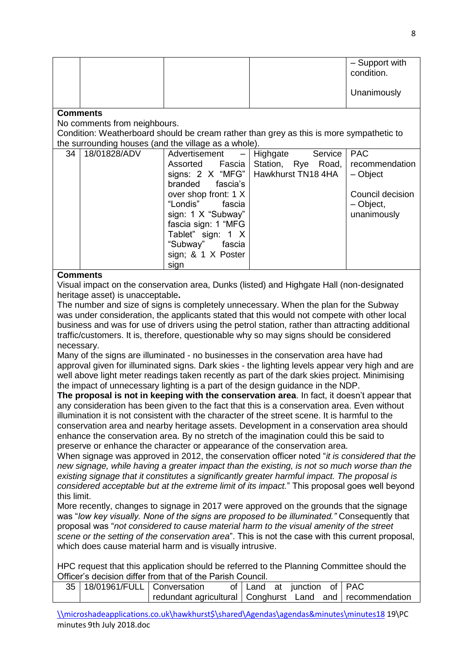|  |  | - Support with<br>condition. |
|--|--|------------------------------|
|  |  | Unanimously                  |

#### **Comments**

No comments from neighbours.

Condition: Weatherboard should be cream rather than grey as this is more sympathetic to the surrounding houses (and the village as a whole).

| 18/01828/ADV | Advertisement<br>$\overline{\phantom{0}}$ | Highgate<br>Service                                                                                        | <b>PAC</b>                                                                 |
|--------------|-------------------------------------------|------------------------------------------------------------------------------------------------------------|----------------------------------------------------------------------------|
|              | Fascia<br>Assorted                        |                                                                                                            |                                                                            |
|              |                                           |                                                                                                            | - Object                                                                   |
|              | branded fascia's                          |                                                                                                            |                                                                            |
|              | over shop front: 1 X                      |                                                                                                            | Council decision                                                           |
|              | "Londis"<br>fascia                        |                                                                                                            | - Object,                                                                  |
|              |                                           |                                                                                                            | unanimously                                                                |
|              |                                           |                                                                                                            |                                                                            |
|              |                                           |                                                                                                            |                                                                            |
|              |                                           |                                                                                                            |                                                                            |
|              |                                           |                                                                                                            |                                                                            |
|              | sign                                      |                                                                                                            |                                                                            |
|              |                                           | sign: 1 X "Subway"<br>fascia sign: 1 "MFG<br>Tablet" sign: 1 X<br>"Subway"<br>fascia<br>sign; & 1 X Poster | Station, Rye Road, recommendation<br>signs: 2 X "MFG"   Hawkhurst TN18 4HA |

#### **Comments**

Visual impact on the conservation area, Dunks (listed) and Highgate Hall (non-designated heritage asset) is unacceptable**.**

The number and size of signs is completely unnecessary. When the plan for the Subway was under consideration, the applicants stated that this would not compete with other local business and was for use of drivers using the petrol station, rather than attracting additional traffic/customers. It is, therefore, questionable why so may signs should be considered necessary.

Many of the signs are illuminated - no businesses in the conservation area have had approval given for illuminated signs. Dark skies - the lighting levels appear very high and are well above light meter readings taken recently as part of the dark skies project. Minimising the impact of unnecessary lighting is a part of the design guidance in the NDP.

**The proposal is not in keeping with the conservation area**. In fact, it doesn't appear that any consideration has been given to the fact that this is a conservation area. Even without illumination it is not consistent with the character of the street scene. It is harmful to the conservation area and nearby heritage assets. Development in a conservation area should enhance the conservation area. By no stretch of the imagination could this be said to preserve or enhance the character or appearance of the conservation area.

When signage was approved in 2012, the conservation officer noted "*it is considered that the new signage, while having a greater impact than the existing, is not so much worse than the existing signage that it constitutes a significantly greater harmful impact. The proposal is considered acceptable but at the extreme limit of its impact.*" This proposal goes well beyond this limit.

More recently, changes to signage in 2017 were approved on the grounds that the signage was "*low key visually. None of the signs are proposed to be illuminated."* Consequently that proposal was "*not considered to cause material harm to the visual amenity of the street scene or the setting of the conservation area*". This is not the case with this current proposal, which does cause material harm and is visually intrusive.

HPC request that this application should be referred to the Planning Committee should the Officer's decision differ from that of the Parish Council.

| 35   18/01961/FULL   Conversation |  |  | of Land at junction of PAC |                                                              |
|-----------------------------------|--|--|----------------------------|--------------------------------------------------------------|
|                                   |  |  |                            | redundant agricultural   Conghurst Land and   recommendation |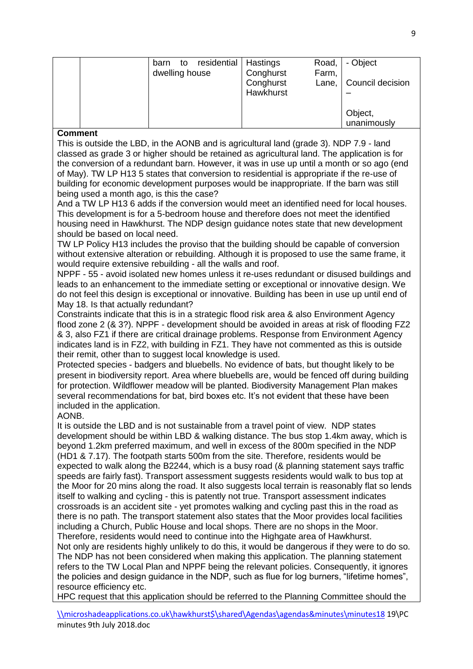| to<br>barn<br>dwelling house | residential   Hastings<br>- Object<br>Road,<br>Conghurst<br>Farm, |
|------------------------------|-------------------------------------------------------------------|
|                              | Lane,   Council decision<br>Conghurst<br>Hawkhurst                |
|                              | Object,<br>unanimously                                            |

#### **Comment**

This is outside the LBD, in the AONB and is agricultural land (grade 3). NDP 7.9 - land classed as grade 3 or higher should be retained as agricultural land. The application is for the conversion of a redundant barn. However, it was in use up until a month or so ago (end of May). TW LP H13 5 states that conversion to residential is appropriate if the re-use of building for economic development purposes would be inappropriate. If the barn was still being used a month ago, is this the case?

And a TW LP H13 6 adds if the conversion would meet an identified need for local houses. This development is for a 5-bedroom house and therefore does not meet the identified housing need in Hawkhurst. The NDP design guidance notes state that new development should be based on local need.

TW LP Policy H13 includes the proviso that the building should be capable of conversion without extensive alteration or rebuilding. Although it is proposed to use the same frame, it would require extensive rebuilding - all the walls and roof.

NPPF - 55 - avoid isolated new homes unless it re-uses redundant or disused buildings and leads to an enhancement to the immediate setting or exceptional or innovative design. We do not feel this design is exceptional or innovative. Building has been in use up until end of May 18. Is that actually redundant?

Constraints indicate that this is in a strategic flood risk area & also Environment Agency flood zone 2 (& 3?). NPPF - development should be avoided in areas at risk of flooding FZ2 & 3, also FZ1 if there are critical drainage problems. Response from Environment Agency indicates land is in FZ2, with building in FZ1. They have not commented as this is outside their remit, other than to suggest local knowledge is used.

Protected species - badgers and bluebells. No evidence of bats, but thought likely to be present in biodiversity report. Area where bluebells are, would be fenced off during building for protection. Wildflower meadow will be planted. Biodiversity Management Plan makes several recommendations for bat, bird boxes etc. It's not evident that these have been included in the application.

## AONB.

It is outside the LBD and is not sustainable from a travel point of view. NDP states development should be within LBD & walking distance. The bus stop 1.4km away, which is beyond 1.2km preferred maximum, and well in excess of the 800m specified in the NDP (HD1 & 7.17). The footpath starts 500m from the site. Therefore, residents would be expected to walk along the B2244, which is a busy road (& planning statement says traffic speeds are fairly fast). Transport assessment suggests residents would walk to bus top at the Moor for 20 mins along the road. It also suggests local terrain is reasonably flat so lends itself to walking and cycling - this is patently not true. Transport assessment indicates crossroads is an accident site - yet promotes walking and cycling past this in the road as there is no path. The transport statement also states that the Moor provides local facilities including a Church, Public House and local shops. There are no shops in the Moor. Therefore, residents would need to continue into the Highgate area of Hawkhurst. Not only are residents highly unlikely to do this, it would be dangerous if they were to do so.

The NDP has not been considered when making this application. The planning statement refers to the TW Local Plan and NPPF being the relevant policies. Consequently, it ignores the policies and design guidance in the NDP, such as flue for log burners, "lifetime homes", resource efficiency etc.

HPC request that this application should be referred to the Planning Committee should the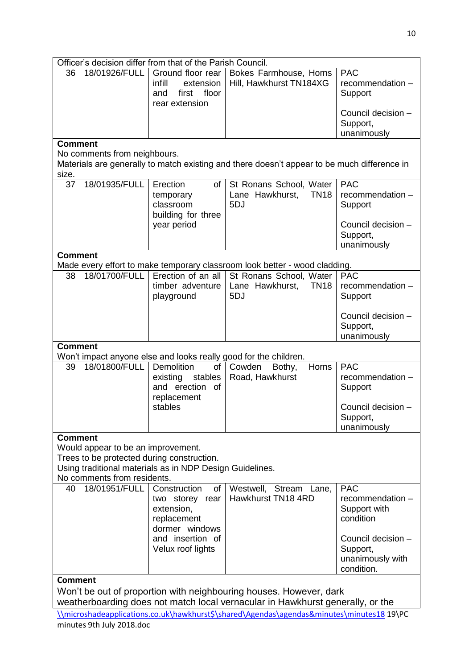| Officer's decision differ from that of the Parish Council.                                                                                                                  |                              |                                                                                     |                                                                            |                                                                  |  |
|-----------------------------------------------------------------------------------------------------------------------------------------------------------------------------|------------------------------|-------------------------------------------------------------------------------------|----------------------------------------------------------------------------|------------------------------------------------------------------|--|
| 36                                                                                                                                                                          | 18/01926/FULL                | Ground floor rear<br>infill<br>extension<br>floor<br>first<br>and<br>rear extension | Bokes Farmhouse, Horns<br>Hill, Hawkhurst TN184XG                          | <b>PAC</b><br>recommendation -<br>Support                        |  |
|                                                                                                                                                                             |                              |                                                                                     |                                                                            | Council decision -<br>Support,<br>unanimously                    |  |
| <b>Comment</b><br>No comments from neighbours.<br>Materials are generally to match existing and there doesn't appear to be much difference in                               |                              |                                                                                     |                                                                            |                                                                  |  |
| size.                                                                                                                                                                       |                              |                                                                                     |                                                                            |                                                                  |  |
| 37                                                                                                                                                                          | 18/01935/FULL                | Erection<br>of<br>temporary<br>classroom<br>building for three                      | St Ronans School, Water<br>Lane Hawkhurst,<br><b>TN18</b><br>5DJ           | <b>PAC</b><br>recommendation -<br>Support                        |  |
|                                                                                                                                                                             |                              | year period                                                                         |                                                                            | Council decision -<br>Support,<br>unanimously                    |  |
| <b>Comment</b>                                                                                                                                                              |                              |                                                                                     |                                                                            |                                                                  |  |
|                                                                                                                                                                             |                              |                                                                                     | Made every effort to make temporary classroom look better - wood cladding. |                                                                  |  |
| 38                                                                                                                                                                          | 18/01700/FULL                | Erection of an all<br>timber adventure<br>playground                                | St Ronans School, Water<br>Lane Hawkhurst,<br><b>TN18</b><br>5DJ           | <b>PAC</b><br>recommendation -<br>Support                        |  |
|                                                                                                                                                                             |                              |                                                                                     |                                                                            | Council decision -<br>Support,<br>unanimously                    |  |
| <b>Comment</b>                                                                                                                                                              |                              |                                                                                     |                                                                            |                                                                  |  |
|                                                                                                                                                                             |                              |                                                                                     | Won't impact anyone else and looks really good for the children.           |                                                                  |  |
| 39                                                                                                                                                                          | 18/01800/FULL                | Demolition<br>of<br>stables<br>existing<br>and erection of<br>replacement           | Cowden<br>Horns<br>Bothy,<br>Road, Hawkhurst                               | <b>PAC</b><br>recommendation -<br>Support                        |  |
|                                                                                                                                                                             |                              | stables                                                                             |                                                                            | Council decision -<br>Support,<br>unanimously                    |  |
| <b>Comment</b>                                                                                                                                                              |                              |                                                                                     |                                                                            |                                                                  |  |
| Would appear to be an improvement.<br>Trees to be protected during construction.<br>Using traditional materials as in NDP Design Guidelines.<br>No comments from residents. |                              |                                                                                     |                                                                            |                                                                  |  |
| 40                                                                                                                                                                          | 18/01951/FULL   Construction | of                                                                                  | Westwell, Stream Lane,                                                     | <b>PAC</b>                                                       |  |
|                                                                                                                                                                             |                              | two storey rear<br>extension,<br>replacement<br>dormer windows                      | Hawkhurst TN18 4RD                                                         | recommendation -<br>Support with<br>condition                    |  |
|                                                                                                                                                                             |                              | and insertion of<br>Velux roof lights                                               |                                                                            | Council decision -<br>Support,<br>unanimously with<br>condition. |  |
| Comment                                                                                                                                                                     |                              |                                                                                     |                                                                            |                                                                  |  |
| Won't be out of proportion with neighbouring houses. However, dark<br>weatherboarding does not match local vernacular in Hawkhurst generally, or the                        |                              |                                                                                     |                                                                            |                                                                  |  |
| \\microshadeapplications.co.uk\hawkhurst\$\shared\Agendas\agendas&minutes\minutes18 19\PC                                                                                   |                              |                                                                                     |                                                                            |                                                                  |  |
| minutes 9th July 2018.doc                                                                                                                                                   |                              |                                                                                     |                                                                            |                                                                  |  |